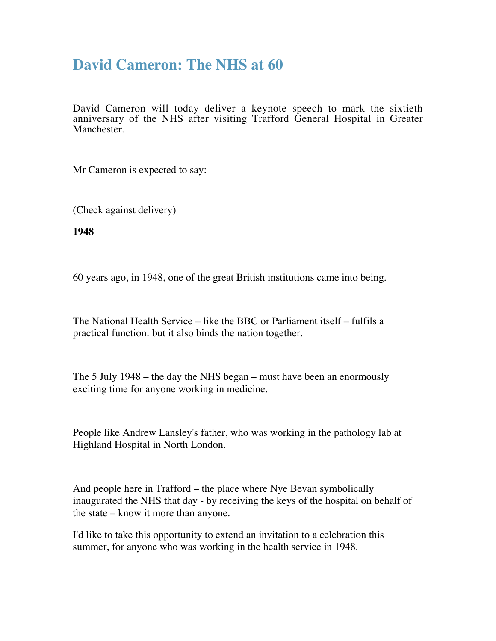# **David Cameron: The NHS at 60**

David Cameron will today deliver a keynote speech to mark the sixtieth anniversary of the NHS after visiting Trafford General Hospital in Greater Manchester.

Mr Cameron is expected to say:

(Check against delivery)

**1948**

60 years ago, in 1948, one of the great British institutions came into being.

The National Health Service – like the BBC or Parliament itself – fulfils a practical function: but it also binds the nation together.

The 5 July 1948 – the day the NHS began – must have been an enormously exciting time for anyone working in medicine.

People like Andrew Lansley's father, who was working in the pathology lab at Highland Hospital in North London.

And people here in Trafford – the place where Nye Bevan symbolically inaugurated the NHS that day - by receiving the keys of the hospital on behalf of the state – know it more than anyone.

I'd like to take this opportunity to extend an invitation to a celebration this summer, for anyone who was working in the health service in 1948.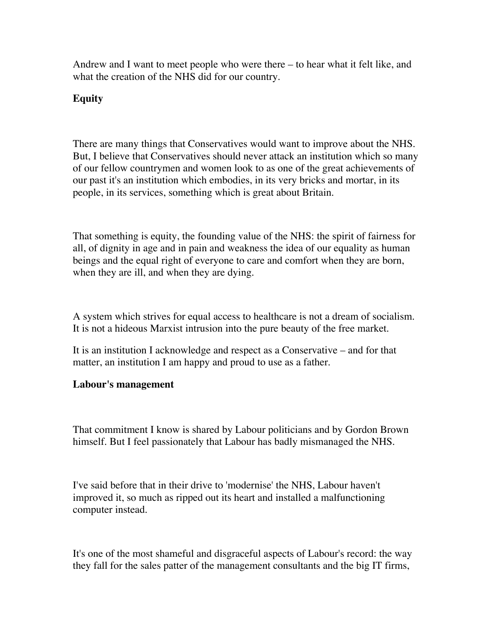Andrew and I want to meet people who were there – to hear what it felt like, and what the creation of the NHS did for our country.

## **Equity**

There are many things that Conservatives would want to improve about the NHS. But, I believe that Conservatives should never attack an institution which so many of our fellow countrymen and women look to as one of the great achievements of our past it's an institution which embodies, in its very bricks and mortar, in its people, in its services, something which is great about Britain.

That something is equity, the founding value of the NHS: the spirit of fairness for all, of dignity in age and in pain and weakness the idea of our equality as human beings and the equal right of everyone to care and comfort when they are born, when they are ill, and when they are dying.

A system which strives for equal access to healthcare is not a dream of socialism. It is not a hideous Marxist intrusion into the pure beauty of the free market.

It is an institution I acknowledge and respect as a Conservative – and for that matter, an institution I am happy and proud to use as a father.

## **Labour's management**

That commitment I know is shared by Labour politicians and by Gordon Brown himself. But I feel passionately that Labour has badly mismanaged the NHS.

I've said before that in their drive to 'modernise' the NHS, Labour haven't improved it, so much as ripped out its heart and installed a malfunctioning computer instead.

It's one of the most shameful and disgraceful aspects of Labour's record: the way they fall for the sales patter of the management consultants and the big IT firms,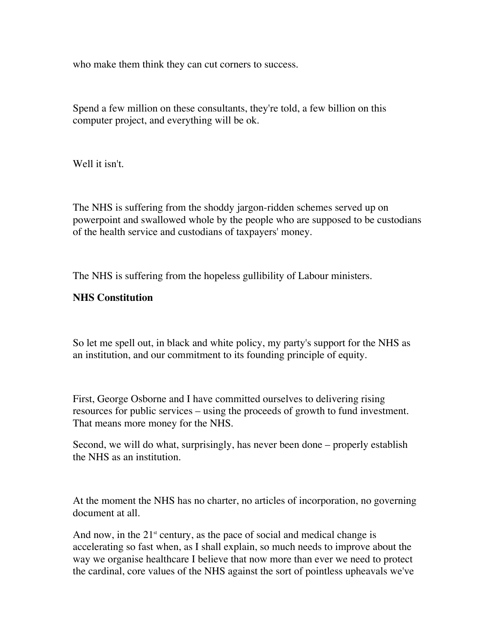who make them think they can cut corners to success.

Spend a few million on these consultants, they're told, a few billion on this computer project, and everything will be ok.

Well it isn't.

The NHS is suffering from the shoddy jargon-ridden schemes served up on powerpoint and swallowed whole by the people who are supposed to be custodians of the health service and custodians of taxpayers' money.

The NHS is suffering from the hopeless gullibility of Labour ministers.

## **NHS Constitution**

So let me spell out, in black and white policy, my party's support for the NHS as an institution, and our commitment to its founding principle of equity.

First, George Osborne and I have committed ourselves to delivering rising resources for public services – using the proceeds of growth to fund investment. That means more money for the NHS.

Second, we will do what, surprisingly, has never been done – properly establish the NHS as an institution.

At the moment the NHS has no charter, no articles of incorporation, no governing document at all.

And now, in the  $21<sup>st</sup>$  century, as the pace of social and medical change is accelerating so fast when, as I shall explain, so much needs to improve about the way we organise healthcare I believe that now more than ever we need to protect the cardinal, core values of the NHS against the sort of pointless upheavals we've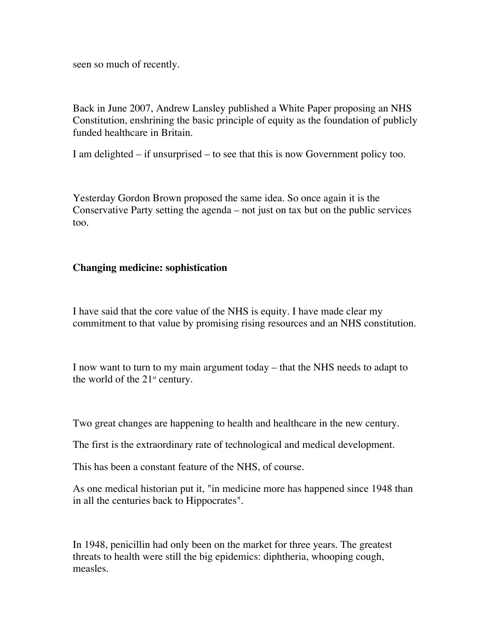seen so much of recently.

Back in June 2007, Andrew Lansley published a White Paper proposing an NHS Constitution, enshrining the basic principle of equity as the foundation of publicly funded healthcare in Britain.

I am delighted – if unsurprised – to see that this is now Government policy too.

Yesterday Gordon Brown proposed the same idea. So once again it is the Conservative Party setting the agenda – not just on tax but on the public services too.

#### **Changing medicine: sophistication**

I have said that the core value of the NHS is equity. I have made clear my commitment to that value by promising rising resources and an NHS constitution.

I now want to turn to my main argument today – that the NHS needs to adapt to the world of the  $21<sup>st</sup>$  century.

Two great changes are happening to health and healthcare in the new century.

The first is the extraordinary rate of technological and medical development.

This has been a constant feature of the NHS, of course.

As one medical historian put it, "in medicine more has happened since 1948 than in all the centuries back to Hippocrates".

In 1948, penicillin had only been on the market for three years. The greatest threats to health were still the big epidemics: diphtheria, whooping cough, measles.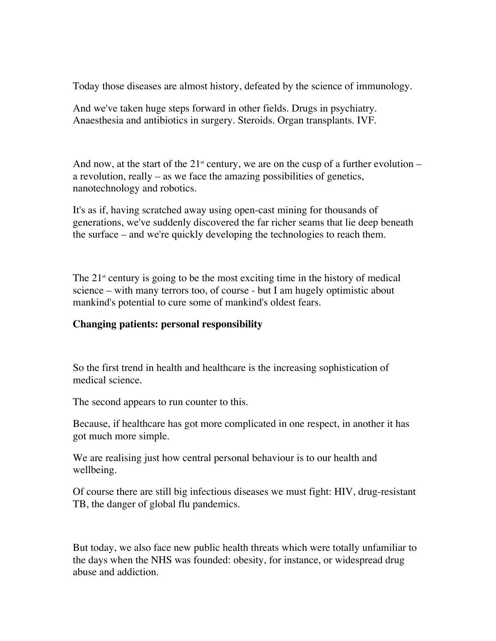Today those diseases are almost history, defeated by the science of immunology.

And we've taken huge steps forward in other fields. Drugs in psychiatry. Anaesthesia and antibiotics in surgery. Steroids. Organ transplants. IVF.

And now, at the start of the  $21^{\text{st}}$  century, we are on the cusp of a further evolution – a revolution, really – as we face the amazing possibilities of genetics, nanotechnology and robotics.

It's as if, having scratched away using open-cast mining for thousands of generations, we've suddenly discovered the far richer seams that lie deep beneath the surface – and we're quickly developing the technologies to reach them.

The  $21<sup>st</sup>$  century is going to be the most exciting time in the history of medical science – with many terrors too, of course - but I am hugely optimistic about mankind's potential to cure some of mankind's oldest fears.

## **Changing patients: personal responsibility**

So the first trend in health and healthcare is the increasing sophistication of medical science.

The second appears to run counter to this.

Because, if healthcare has got more complicated in one respect, in another it has got much more simple.

We are realising just how central personal behaviour is to our health and wellbeing.

Of course there are still big infectious diseases we must fight: HIV, drug-resistant TB, the danger of global flu pandemics.

But today, we also face new public health threats which were totally unfamiliar to the days when the NHS was founded: obesity, for instance, or widespread drug abuse and addiction.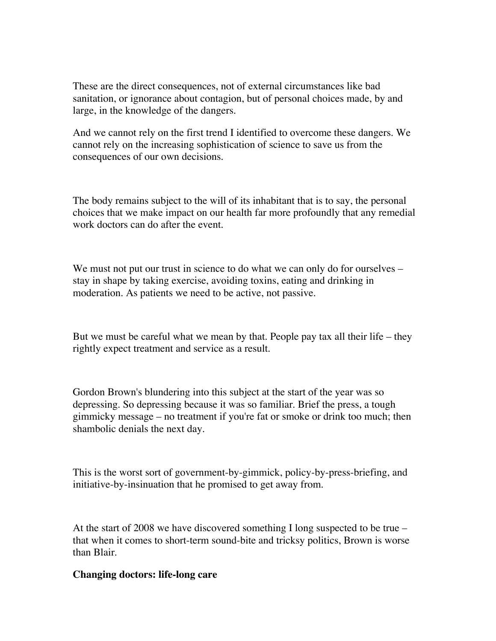These are the direct consequences, not of external circumstances like bad sanitation, or ignorance about contagion, but of personal choices made, by and large, in the knowledge of the dangers.

And we cannot rely on the first trend I identified to overcome these dangers. We cannot rely on the increasing sophistication of science to save us from the consequences of our own decisions.

The body remains subject to the will of its inhabitant that is to say, the personal choices that we make impact on our health far more profoundly that any remedial work doctors can do after the event.

We must not put our trust in science to do what we can only do for ourselves – stay in shape by taking exercise, avoiding toxins, eating and drinking in moderation. As patients we need to be active, not passive.

But we must be careful what we mean by that. People pay tax all their life – they rightly expect treatment and service as a result.

Gordon Brown's blundering into this subject at the start of the year was so depressing. So depressing because it was so familiar. Brief the press, a tough gimmicky message – no treatment if you're fat or smoke or drink too much; then shambolic denials the next day.

This is the worst sort of government-by-gimmick, policy-by-press-briefing, and initiative-by-insinuation that he promised to get away from.

At the start of 2008 we have discovered something I long suspected to be true – that when it comes to short-term sound-bite and tricksy politics, Brown is worse than Blair.

#### **Changing doctors: life-long care**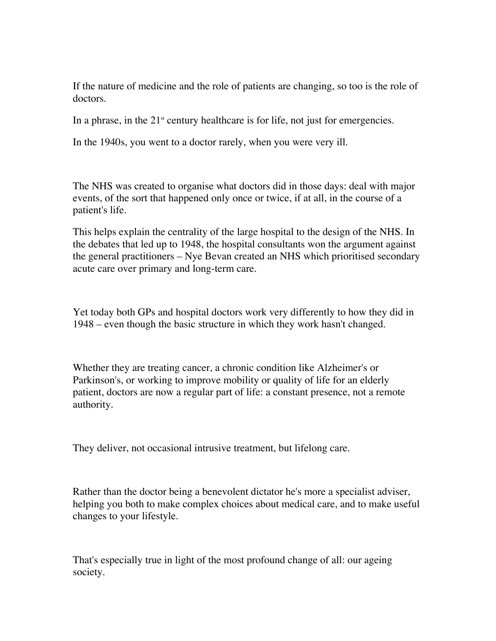If the nature of medicine and the role of patients are changing, so too is the role of doctors.

In a phrase, in the  $21<sup>st</sup>$  century healthcare is for life, not just for emergencies.

In the 1940s, you went to a doctor rarely, when you were very ill.

The NHS was created to organise what doctors did in those days: deal with major events, of the sort that happened only once or twice, if at all, in the course of a patient's life.

This helps explain the centrality of the large hospital to the design of the NHS. In the debates that led up to 1948, the hospital consultants won the argument against the general practitioners – Nye Bevan created an NHS which prioritised secondary acute care over primary and long-term care.

Yet today both GPs and hospital doctors work very differently to how they did in 1948 – even though the basic structure in which they work hasn't changed.

Whether they are treating cancer, a chronic condition like Alzheimer's or Parkinson's, or working to improve mobility or quality of life for an elderly patient, doctors are now a regular part of life: a constant presence, not a remote authority.

They deliver, not occasional intrusive treatment, but lifelong care.

Rather than the doctor being a benevolent dictator he's more a specialist adviser, helping you both to make complex choices about medical care, and to make useful changes to your lifestyle.

That's especially true in light of the most profound change of all: our ageing society.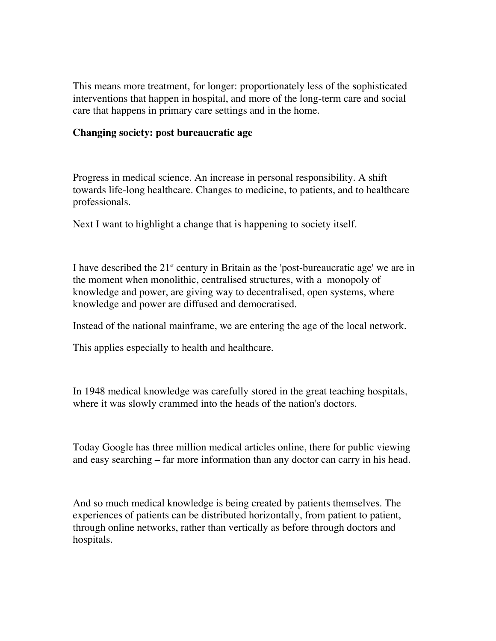This means more treatment, for longer: proportionately less of the sophisticated interventions that happen in hospital, and more of the long-term care and social care that happens in primary care settings and in the home.

#### **Changing society: post bureaucratic age**

Progress in medical science. An increase in personal responsibility. A shift towards life-long healthcare. Changes to medicine, to patients, and to healthcare professionals.

Next I want to highlight a change that is happening to society itself.

I have described the  $21^{\text{st}}$  century in Britain as the 'post-bureaucratic age' we are in the moment when monolithic, centralised structures, with a monopoly of knowledge and power, are giving way to decentralised, open systems, where knowledge and power are diffused and democratised.

Instead of the national mainframe, we are entering the age of the local network.

This applies especially to health and healthcare.

In 1948 medical knowledge was carefully stored in the great teaching hospitals, where it was slowly crammed into the heads of the nation's doctors.

Today Google has three million medical articles online, there for public viewing and easy searching – far more information than any doctor can carry in his head.

And so much medical knowledge is being created by patients themselves. The experiences of patients can be distributed horizontally, from patient to patient, through online networks, rather than vertically as before through doctors and hospitals.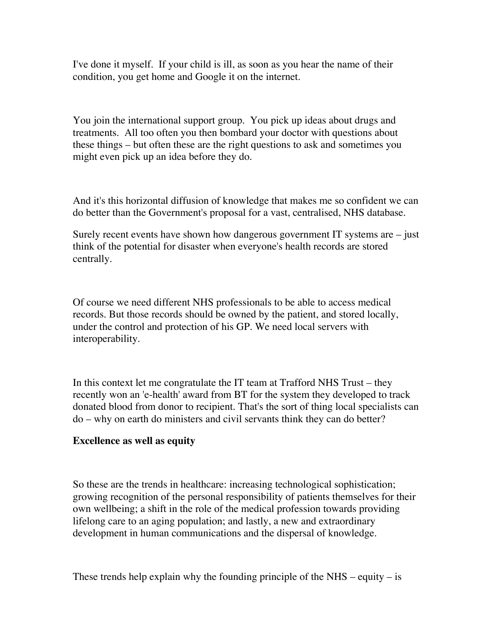I've done it myself. If your child is ill, as soon as you hear the name of their condition, you get home and Google it on the internet.

You join the international support group. You pick up ideas about drugs and treatments. All too often you then bombard your doctor with questions about these things – but often these are the right questions to ask and sometimes you might even pick up an idea before they do.

And it's this horizontal diffusion of knowledge that makes me so confident we can do better than the Government's proposal for a vast, centralised, NHS database.

Surely recent events have shown how dangerous government IT systems are – just think of the potential for disaster when everyone's health records are stored centrally.

Of course we need different NHS professionals to be able to access medical records. But those records should be owned by the patient, and stored locally, under the control and protection of his GP. We need local servers with interoperability.

In this context let me congratulate the IT team at Trafford NHS Trust – they recently won an 'e-health' award from BT for the system they developed to track donated blood from donor to recipient. That's the sort of thing local specialists can do – why on earth do ministers and civil servants think they can do better?

## **Excellence as well as equity**

So these are the trends in healthcare: increasing technological sophistication; growing recognition of the personal responsibility of patients themselves for their own wellbeing; a shift in the role of the medical profession towards providing lifelong care to an aging population; and lastly, a new and extraordinary development in human communications and the dispersal of knowledge.

These trends help explain why the founding principle of the  $N<sub>HS</sub>$  – equity – is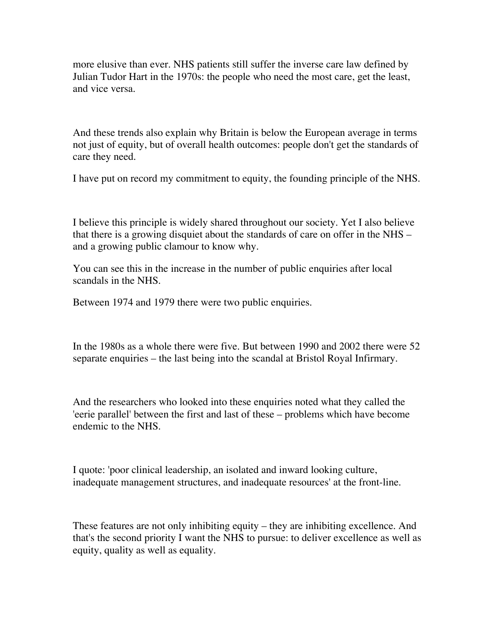more elusive than ever. NHS patients still suffer the inverse care law defined by Julian Tudor Hart in the 1970s: the people who need the most care, get the least, and vice versa.

And these trends also explain why Britain is below the European average in terms not just of equity, but of overall health outcomes: people don't get the standards of care they need.

I have put on record my commitment to equity, the founding principle of the NHS.

I believe this principle is widely shared throughout our society. Yet I also believe that there is a growing disquiet about the standards of care on offer in the NHS – and a growing public clamour to know why.

You can see this in the increase in the number of public enquiries after local scandals in the NHS.

Between 1974 and 1979 there were two public enquiries.

In the 1980s as a whole there were five. But between 1990 and 2002 there were 52 separate enquiries – the last being into the scandal at Bristol Royal Infirmary.

And the researchers who looked into these enquiries noted what they called the 'eerie parallel' between the first and last of these – problems which have become endemic to the NHS.

I quote: 'poor clinical leadership, an isolated and inward looking culture, inadequate management structures, and inadequate resources' at the front-line.

These features are not only inhibiting equity – they are inhibiting excellence. And that's the second priority I want the NHS to pursue: to deliver excellence as well as equity, quality as well as equality.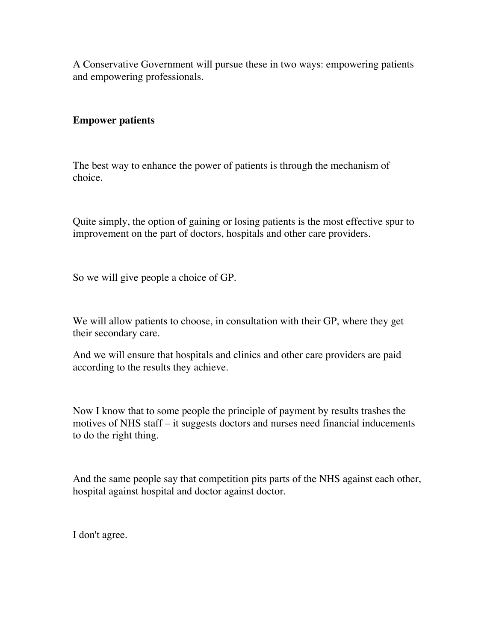A Conservative Government will pursue these in two ways: empowering patients and empowering professionals.

### **Empower patients**

The best way to enhance the power of patients is through the mechanism of choice.

Quite simply, the option of gaining or losing patients is the most effective spur to improvement on the part of doctors, hospitals and other care providers.

So we will give people a choice of GP.

We will allow patients to choose, in consultation with their GP, where they get their secondary care.

And we will ensure that hospitals and clinics and other care providers are paid according to the results they achieve.

Now I know that to some people the principle of payment by results trashes the motives of NHS staff – it suggests doctors and nurses need financial inducements to do the right thing.

And the same people say that competition pits parts of the NHS against each other, hospital against hospital and doctor against doctor.

I don't agree.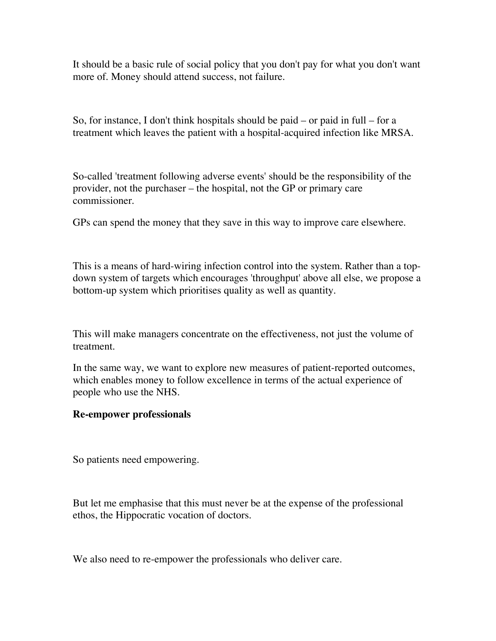It should be a basic rule of social policy that you don't pay for what you don't want more of. Money should attend success, not failure.

So, for instance, I don't think hospitals should be paid – or paid in full – for a treatment which leaves the patient with a hospital-acquired infection like MRSA.

So-called 'treatment following adverse events' should be the responsibility of the provider, not the purchaser – the hospital, not the GP or primary care commissioner.

GPs can spend the money that they save in this way to improve care elsewhere.

This is a means of hard-wiring infection control into the system. Rather than a topdown system of targets which encourages 'throughput' above all else, we propose a bottom-up system which prioritises quality as well as quantity.

This will make managers concentrate on the effectiveness, not just the volume of treatment.

In the same way, we want to explore new measures of patient-reported outcomes, which enables money to follow excellence in terms of the actual experience of people who use the NHS.

#### **Re-empower professionals**

So patients need empowering.

But let me emphasise that this must never be at the expense of the professional ethos, the Hippocratic vocation of doctors.

We also need to re-empower the professionals who deliver care.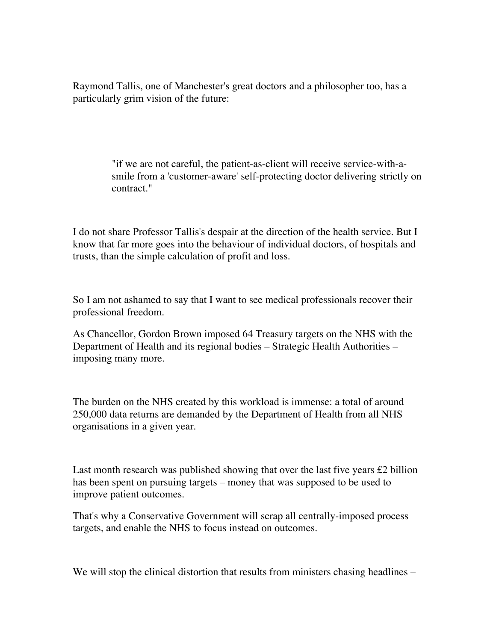Raymond Tallis, one of Manchester's great doctors and a philosopher too, has a particularly grim vision of the future:

> "if we are not careful, the patient-as-client will receive service-with-asmile from a 'customer-aware' self-protecting doctor delivering strictly on contract."

I do not share Professor Tallis's despair at the direction of the health service. But I know that far more goes into the behaviour of individual doctors, of hospitals and trusts, than the simple calculation of profit and loss.

So I am not ashamed to say that I want to see medical professionals recover their professional freedom.

As Chancellor, Gordon Brown imposed 64 Treasury targets on the NHS with the Department of Health and its regional bodies – Strategic Health Authorities – imposing many more.

The burden on the NHS created by this workload is immense: a total of around 250,000 data returns are demanded by the Department of Health from all NHS organisations in a given year.

Last month research was published showing that over the last five years £2 billion has been spent on pursuing targets – money that was supposed to be used to improve patient outcomes.

That's why a Conservative Government will scrap all centrally-imposed process targets, and enable the NHS to focus instead on outcomes.

We will stop the clinical distortion that results from ministers chasing headlines –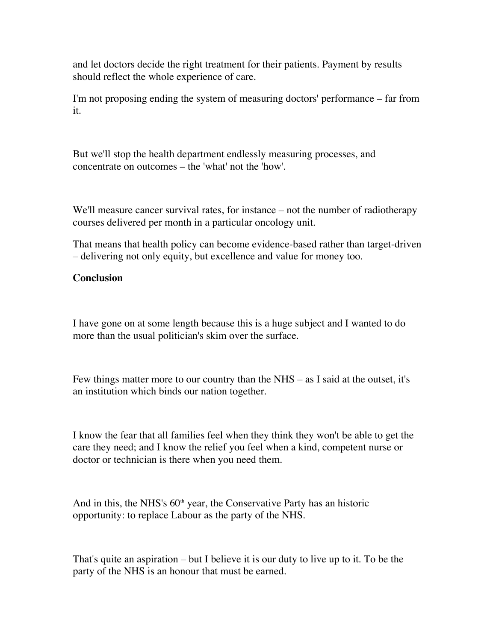and let doctors decide the right treatment for their patients. Payment by results should reflect the whole experience of care.

I'm not proposing ending the system of measuring doctors' performance – far from it.

But we'll stop the health department endlessly measuring processes, and concentrate on outcomes – the 'what' not the 'how'.

We'll measure cancer survival rates, for instance – not the number of radiotherapy courses delivered per month in a particular oncology unit.

That means that health policy can become evidence-based rather than target-driven – delivering not only equity, but excellence and value for money too.

## **Conclusion**

I have gone on at some length because this is a huge subject and I wanted to do more than the usual politician's skim over the surface.

Few things matter more to our country than the NHS – as I said at the outset, it's an institution which binds our nation together.

I know the fear that all families feel when they think they won't be able to get the care they need; and I know the relief you feel when a kind, competent nurse or doctor or technician is there when you need them.

And in this, the NHS's  $60<sup>th</sup>$  year, the Conservative Party has an historic opportunity: to replace Labour as the party of the NHS.

That's quite an aspiration – but I believe it is our duty to live up to it. To be the party of the NHS is an honour that must be earned.